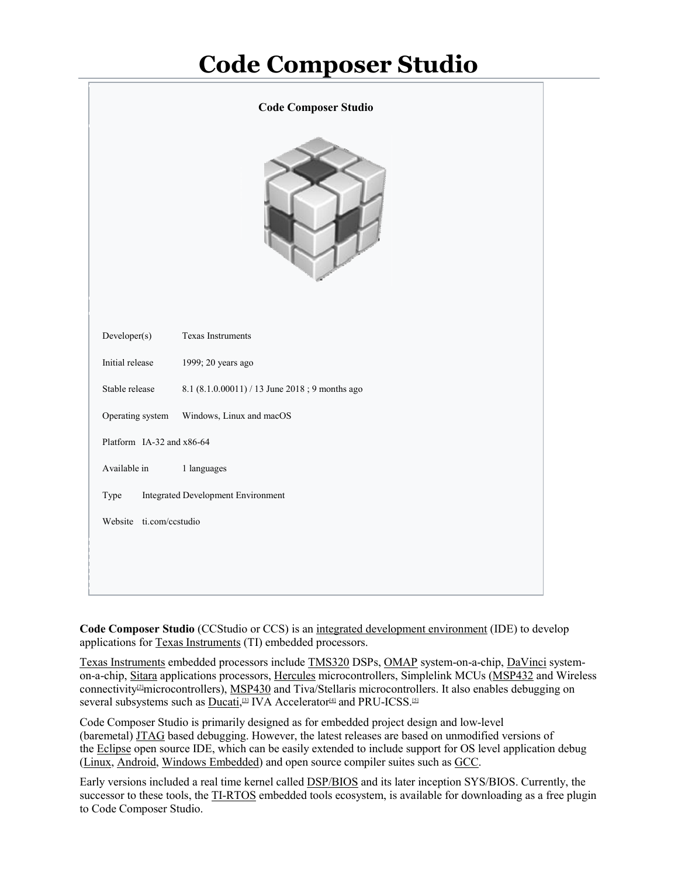# **Code Composer Studio**

| <b>Code Composer Studio</b>                       |                                                |
|---------------------------------------------------|------------------------------------------------|
|                                                   |                                                |
| Developer(s)                                      | Texas Instruments                              |
| Initial release                                   | 1999; 20 years ago                             |
| Stable release                                    | 8.1 (8.1.0.00011) / 13 June 2018; 9 months ago |
| Operating system                                  | Windows, Linux and macOS                       |
| Platform IA-32 and x86-64                         |                                                |
| Available in                                      | 1 languages                                    |
| <b>Integrated Development Environment</b><br>Type |                                                |
| Website ti.com/ccstudio                           |                                                |
|                                                   |                                                |
|                                                   |                                                |

**Code Composer Studio** (CCStudio or CCS) is an integrated development environment (IDE) to develop applications for Texas Instruments (TI) embedded processors.

Texas Instruments embedded processors include TMS320 DSPs, OMAP system-on-a-chip, DaVinci systemon-a-chip, Sitara applications processors, Hercules microcontrollers, Simplelink MCUs (MSP432 and Wireless connectivity<sup>[2]</sup>microcontrollers), MSP430 and Tiva/Stellaris microcontrollers. It also enables debugging on several subsystems such as  $\overline{\text{Ducati}}$ ,<sup>[3]</sup> IVA Accelerator<sup>[4]</sup> and PRU-ICSS.<sup>[5]</sup>

Code Composer Studio is primarily designed as for embedded project design and low-level (baremetal) JTAG based debugging. However, the latest releases are based on unmodified versions of the Eclipse open source IDE, which can be easily extended to include support for OS level application debug (Linux, Android, Windows Embedded) and open source compiler suites such as GCC. Code Composer Studio is primarily designed as for embedded project design and low-level<br>(baremetal) <u>JTAG</u> based debugging. However, the latest releases are based on unmodified versions of<br>the <u>Eclipse</u> open source IDE, wh

Early versions included a real time kernel called **DSP/BIOS** and its later inception SYS/BIOS. Currently, the to Code Composer Studio.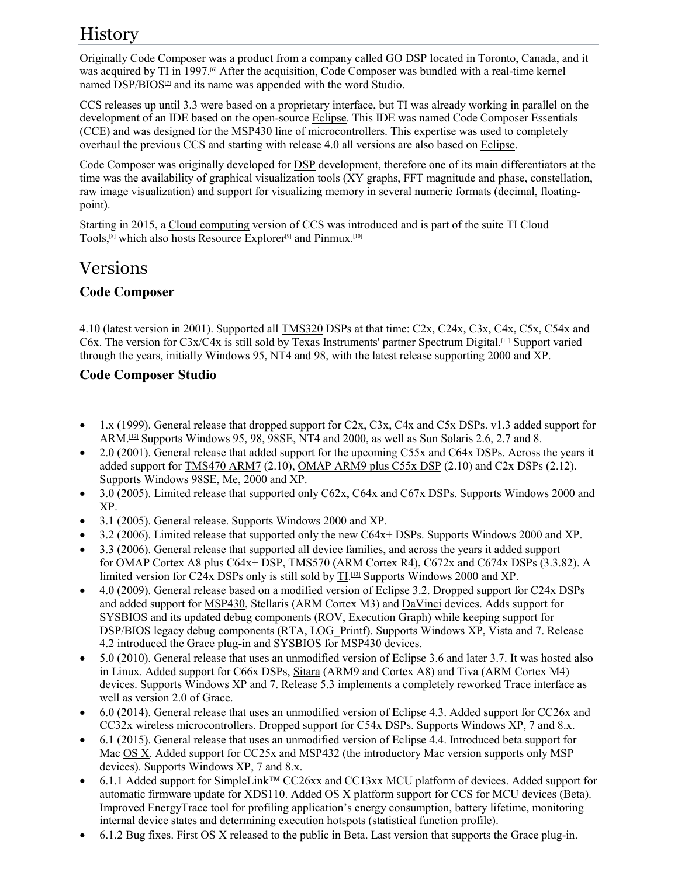## History

Originally Code Composer was a product from a company called GO DSP located in Toronto, Canada, and it was acquired by TI in 1997.<sup>[6]</sup> After the acquisition, Code Composer was bundled with a real-time kernel named DSP/BIOS<sup>[2]</sup> and its name was appended with the word Studio.

CCS releases up until 3.3 were based on a proprietary interface, but TI was already working in parallel on the development of an IDE based on the open-source Eclipse. This IDE was named Code Composer Essentials (CCE) and was designed for the MSP430 line of microcontrollers. This expertise was used to completely overhaul the previous CCS and starting with release 4.0 all versions are also based on Eclipse.

Code Composer was originally developed for DSP development, therefore one of its main differentiators at the time was the availability of graphical visualization tools (XY graphs, FFT magnitude and phase, constellation, raw image visualization) and support for visualizing memory in several numeric formats (decimal, floatingpoint).

Starting in 2015, a Cloud computing version of CCS was introduced and is part of the suite TI Cloud Tools,<sup>[8]</sup> which also hosts Resource Explorer<sup>[9]</sup> and Pinmux.<sup>[10]</sup>

### Versions

#### **Code Composer**

4.10 (latest version in 2001). Supported all TMS320 DSPs at that time: C2x, C24x, C3x, C4x, C5x, C54x and C6x. The version for C3x/C4x is still sold by Texas Instruments' partner Spectrum Digital.<sup>[11]</sup> Support varied through the years, initially Windows 95, NT4 and 98, with the latest release supporting 2000 and XP.

#### **Code Composer Studio**

- $\bullet$  1.x (1999). General release that dropped support for C2x, C3x, C4x and C5x DSPs. v1.3 added support for ARM.<sup>[12]</sup> Supports Windows 95, 98, 98SE, NT4 and 2000, as well as Sun Solaris 2.6, 2.7 and 8.
- 2.0 (2001). General release that added support for the upcoming C55x and C64x DSPs. Across the years it added support for TMS470 ARM7 (2.10), OMAP ARM9 plus C55x DSP (2.10) and C2x DSPs (2.12). Supports Windows 98SE, Me, 2000 and XP.
- 3.0 (2005). Limited release that supported only C62x, C64x and C67x DSPs. Supports Windows 2000 and XP.
- 3.1 (2005). General release. Supports Windows 2000 and XP.
- 3.2 (2006). Limited release that supported only the new C64x+ DSPs. Supports Windows 2000 and XP.
- 3.3 (2006). General release that supported all device families, and across the years it added support for OMAP Cortex A8 plus C64x+ DSP, TMS570 (ARM Cortex R4), C672x and C674x DSPs (3.3.82). A limited version for C24x DSPs only is still sold by  $\text{II}$ .<sup>[13]</sup> Supports Windows 2000 and XP.
- 4.0 (2009). General release based on a modified version of Eclipse 3.2. Dropped support for C24x DSPs and added support for MSP430, Stellaris (ARM Cortex M3) and DaVinci devices. Adds support for SYSBIOS and its updated debug components (ROV, Execution Graph) while keeping support for DSP/BIOS legacy debug components (RTA, LOG\_Printf). Supports Windows XP, Vista and 7. Release 4.2 introduced the Grace plug-in and SYSBIOS for MSP430 devices.
- 5.0 (2010). General release that uses an unmodified version of Eclipse 3.6 and later 3.7. It was hosted also in Linux. Added support for C66x DSPs, Sitara (ARM9 and Cortex A8) and Tiva (ARM Cortex M4) devices. Supports Windows XP and 7. Release 5.3 implements a completely reworked Trace interface as well as version 2.0 of Grace.
- 6.0 (2014). General release that uses an unmodified version of Eclipse 4.3. Added support for CC26x and CC32x wireless microcontrollers. Dropped support for C54x DSPs. Supports Windows XP, 7 and 8.x.
- 6.1 (2015). General release that uses an unmodified version of Eclipse 4.4. Introduced beta support for Mac OS X. Added support for CC25x and MSP432 (the introductory Mac version supports only MSP devices). Supports Windows XP, 7 and 8.x.
- 6.1.1 Added support for SimpleLink™ CC26xx and CC13xx MCU platform of devices. Added support for automatic firmware update for XDS110. Added OS X platform support for CCS for MCU devices (Beta). Improved EnergyTrace tool for profiling application's energy consumption, battery lifetime, monitoring internal device states and determining execution hotspots (statistical function profile).
- 6.1.2 Bug fixes. First OS X released to the public in Beta. Last version that supports the Grace plug-in.